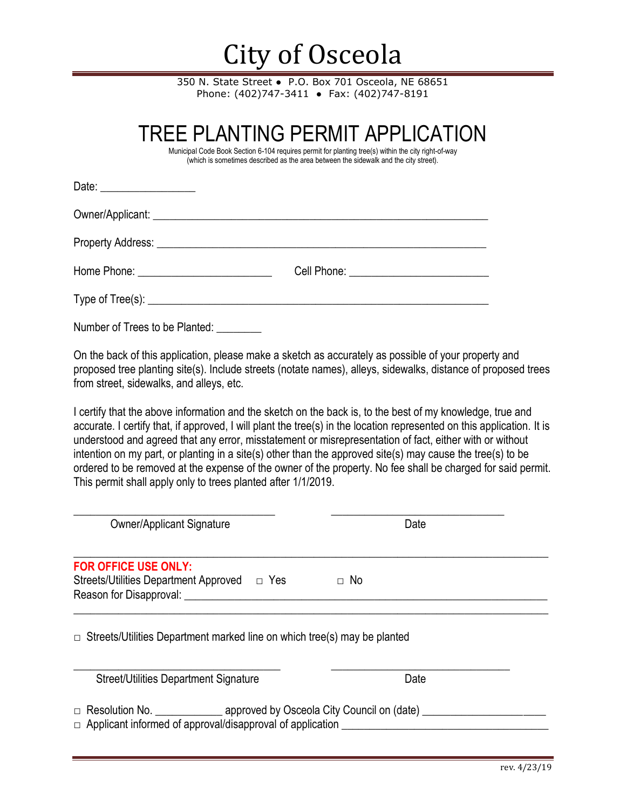## City of Osceola

350 N. State Street • P.O. Box 701 Osceola, NE 68651 Phone: (402)747-3411 ● Fax: (402)747-8191

|                                                                            | TREE PLANTING PERMIT APPLICATION<br>Municipal Code Book Section 6-104 requires permit for planting tree(s) within the city right-of-way<br>(which is sometimes described as the area between the sidewalk and the city street).                                                                                                                                                                                                                                                                                                                                             |  |
|----------------------------------------------------------------------------|-----------------------------------------------------------------------------------------------------------------------------------------------------------------------------------------------------------------------------------------------------------------------------------------------------------------------------------------------------------------------------------------------------------------------------------------------------------------------------------------------------------------------------------------------------------------------------|--|
| Date: ____________________                                                 |                                                                                                                                                                                                                                                                                                                                                                                                                                                                                                                                                                             |  |
|                                                                            |                                                                                                                                                                                                                                                                                                                                                                                                                                                                                                                                                                             |  |
|                                                                            |                                                                                                                                                                                                                                                                                                                                                                                                                                                                                                                                                                             |  |
|                                                                            |                                                                                                                                                                                                                                                                                                                                                                                                                                                                                                                                                                             |  |
|                                                                            |                                                                                                                                                                                                                                                                                                                                                                                                                                                                                                                                                                             |  |
| Number of Trees to be Planted:                                             |                                                                                                                                                                                                                                                                                                                                                                                                                                                                                                                                                                             |  |
| from street, sidewalks, and alleys, etc.                                   | On the back of this application, please make a sketch as accurately as possible of your property and<br>proposed tree planting site(s). Include streets (notate names), alleys, sidewalks, distance of proposed trees                                                                                                                                                                                                                                                                                                                                                       |  |
| This permit shall apply only to trees planted after 1/1/2019.              | I certify that the above information and the sketch on the back is, to the best of my knowledge, true and<br>accurate. I certify that, if approved, I will plant the tree(s) in the location represented on this application. It is<br>understood and agreed that any error, misstatement or misrepresentation of fact, either with or without<br>intention on my part, or planting in a site(s) other than the approved site(s) may cause the tree(s) to be<br>ordered to be removed at the expense of the owner of the property. No fee shall be charged for said permit. |  |
| <b>Owner/Applicant Signature</b>                                           | Date                                                                                                                                                                                                                                                                                                                                                                                                                                                                                                                                                                        |  |
| <b>FOR OFFICE USE ONLY:</b><br>Streets/Utilities Department Approved □ Yes | $\Box$ No                                                                                                                                                                                                                                                                                                                                                                                                                                                                                                                                                                   |  |

 $\Box$  Streets/Utilities Department marked line on which tree(s) may be planted

Reason for Disapproval: \_\_\_\_\_\_\_\_\_\_\_\_\_\_\_\_\_\_\_\_\_\_\_\_\_\_\_\_\_\_\_\_\_\_\_\_\_\_\_\_\_\_\_\_\_\_\_\_\_\_\_\_\_\_\_\_\_\_\_\_\_\_\_\_\_

| <b>Street/Utilities Department Signature</b> |                                                                  | Date |  |
|----------------------------------------------|------------------------------------------------------------------|------|--|
| $\Box$ Resolution No.                        | approved by Osceola City Council on (date)                       |      |  |
|                                              | $\Box$ Applicant informed of approval/disapproval of application |      |  |

 $\_$  , and the set of the set of the set of the set of the set of the set of the set of the set of the set of the set of the set of the set of the set of the set of the set of the set of the set of the set of the set of th